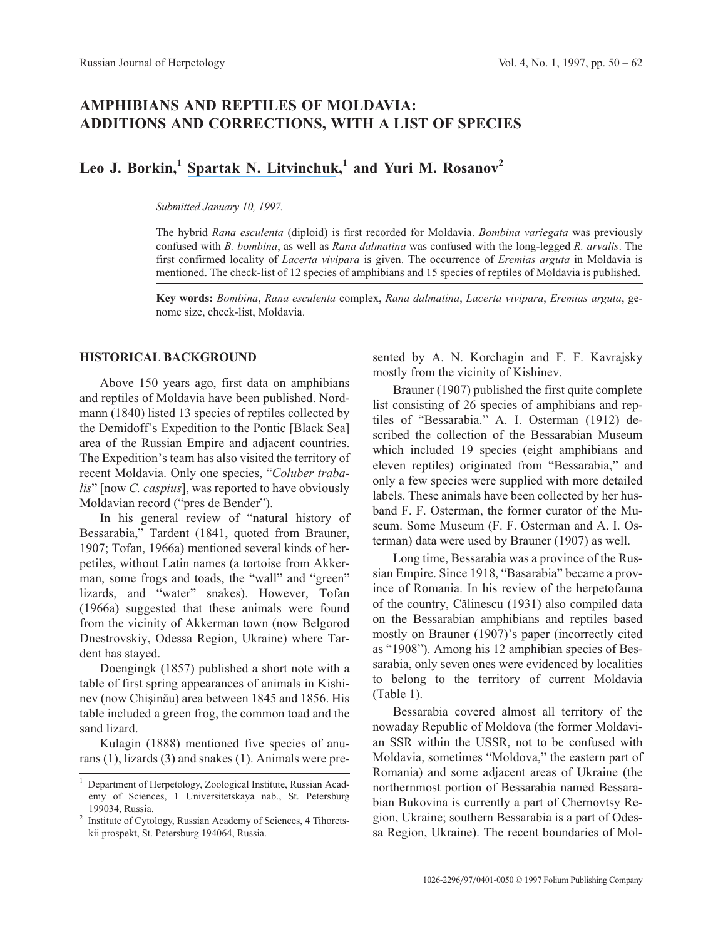# **AMPHIBIANS AND REPTILES OF MOLDAVIA: ADDITIONS AND CORRECTIONS, WITH A LIST OF SPECIES**

# **Leo J. Borkin,<sup>1</sup> [Spartak N. Litvinchuk](https://www.researchgate.net/profile/Spartak_Litvinchuk?el=1_x_100&enrichId=rgreq-f7716a8adba90c962ed5f5c4b5391965-XXX&enrichSource=Y292ZXJQYWdlOzIzMzM3OTE0NjtBUzo5NzEyOTA0OTYyNDU3NkAxNDAwMTY4Nzc4MDUw),<sup>1</sup> and Yuri M. Rosanov<sup>2</sup>**

#### *Submitted January 10, 1997.*

The hybrid *Rana esculenta* (diploid) is first recorded for Moldavia. *Bombina variegata* was previously confused with *B. bombina*, as well as *Rana dalmatina* was confused with the long-legged *R. arvalis*. The first confirmed locality of *Lacerta vivipara* is given. The occurrence of *Eremias arguta* in Moldavia is mentioned. The check-list of 12 species of amphibians and 15 species of reptiles of Moldavia is published.

**Key words:** *Bombina*, *Rana esculenta* complex, *Rana dalmatina*, *Lacerta vivipara*, *Eremias arguta*, genome size, check-list, Moldavia.

## **HISTORICAL BACKGROUND**

Above 150 years ago, first data on amphibians and reptiles of Moldavia have been published. Nordmann (1840) listed 13 species of reptiles collected by the Demidoff's Expedition to the Pontic [Black Sea] area of the Russian Empire and adjacent countries. The Expedition's team has also visited the territory of recent Moldavia. Only one species, "*Coluber trabalis*" [now *C. caspius*], was reported to have obviously Moldavian record ("pres de Bender").

In his general review of "natural history of Bessarabia," Tardent (1841, quoted from Brauner, 1907; Tofan, 1966a) mentioned several kinds of herpetiles, without Latin names (a tortoise from Akkerman, some frogs and toads, the "wall" and "green" lizards, and "water" snakes). However, Tofan (1966a) suggested that these animals were found from the vicinity of Akkerman town (now Belgorod Dnestrovskiy, Odessa Region, Ukraine) where Tardent has stayed.

Doengingk (1857) published a short note with a table of first spring appearances of animals in Kishinev (now Chişinău) area between 1845 and 1856. His table included a green frog, the common toad and the sand lizard.

Kulagin (1888) mentioned five species of anurans (1), lizards (3) and snakes (1). Animals were presented by A. N. Korchagin and F. F. Kavrajsky mostly from the vicinity of Kishinev.

Brauner (1907) published the first quite complete list consisting of 26 species of amphibians and reptiles of "Bessarabia." A. I. Osterman (1912) described the collection of the Bessarabian Museum which included 19 species (eight amphibians and eleven reptiles) originated from "Bessarabia," and only a few species were supplied with more detailed labels. These animals have been collected by her husband F. F. Osterman, the former curator of the Museum. Some Museum (F. F. Osterman and A. I. Osterman) data were used by Brauner (1907) as well.

Long time, Bessarabia was a province of the Russian Empire. Since 1918, "Basarabia" became a province of Romania. In his review of the herpetofauna of the country, Cãlinescu (1931) also compiled data on the Bessarabian amphibians and reptiles based mostly on Brauner (1907)'s paper (incorrectly cited as "1908"). Among his 12 amphibian species of Bessarabia, only seven ones were evidenced by localities to belong to the territory of current Moldavia (Table 1).

Bessarabia covered almost all territory of the nowaday Republic of Moldova (the former Moldavian SSR within the USSR, not to be confused with Moldavia, sometimes "Moldova," the eastern part of Romania) and some adjacent areas of Ukraine (the northernmost portion of Bessarabia named Bessarabian Bukovina is currently a part of Chernovtsy Region, Ukraine; southern Bessarabia is a part of Odessa Region, Ukraine). The recent boundaries of Mol-

<sup>1</sup> Department of Herpetology, Zoological Institute, Russian Academy of Sciences, 1 Universitetskaya nab., St. Petersburg 199034, Russia.

<sup>&</sup>lt;sup>2</sup> Institute of Cytology, Russian Academy of Sciences, 4 Tihoretskii prospekt, St. Petersburg 194064, Russia.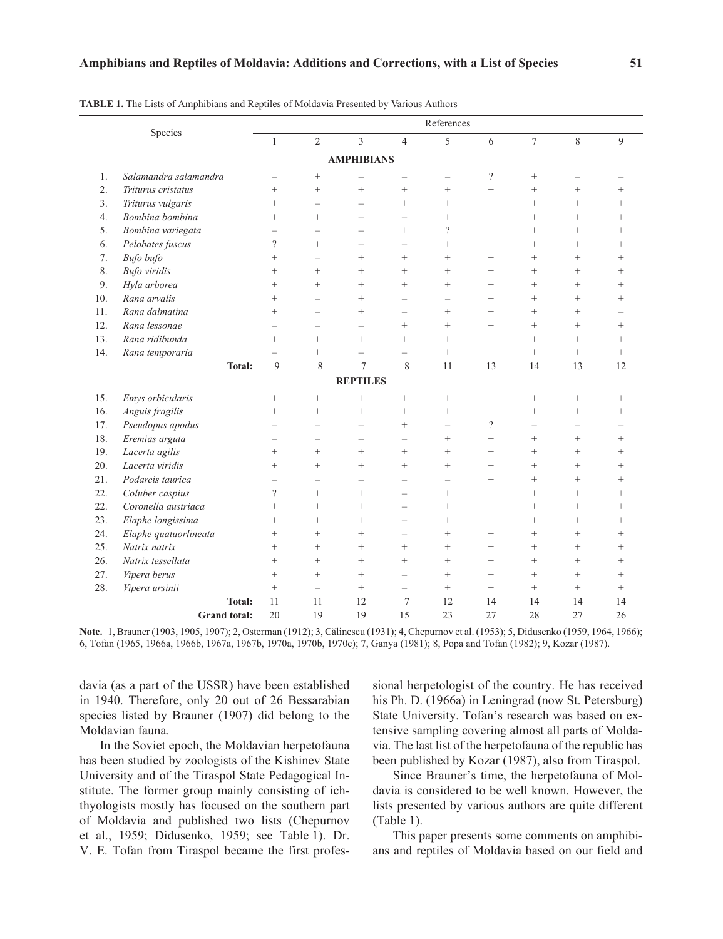|                             |        | References |                |                   |                          |        |          |        |        |                |  |
|-----------------------------|--------|------------|----------------|-------------------|--------------------------|--------|----------|--------|--------|----------------|--|
| Species                     |        | 1          | $\overline{2}$ | 3                 | $\overline{4}$           | 5      | 6        | 7      | 8      | 9              |  |
|                             |        |            |                | <b>AMPHIBIANS</b> |                          |        |          |        |        |                |  |
| Salamandra salamandra<br>1. |        |            | $^{+}$         |                   |                          |        | $\gamma$ | $^{+}$ |        |                |  |
| 2.<br>Triturus cristatus    |        | $^{+}$     | $^{+}$         | $^{+}$            | $^{+}$                   | $^{+}$ | $^{+}$   | $+$    | $^{+}$ | $^+$           |  |
| 3.<br>Triturus vulgaris     |        | $^{+}$     |                |                   | $^{+}$                   | $^{+}$ | $^{+}$   | $+$    | $^{+}$ | $^+$           |  |
| Bombina bombina<br>4.       |        | $^{+}$     | $^{+}$         |                   |                          | $^{+}$ | $^{+}$   | $+$    | $^{+}$ | $^{+}$         |  |
| Bombina variegata<br>5.     |        |            |                |                   | $^{+}$                   | ?      | $^{+}$   | $+$    | $^{+}$ | $^+$           |  |
| Pelobates fuscus<br>6.      |        | $\Omega$   | $^{+}$         |                   |                          | $^{+}$ | $^{+}$   | $^{+}$ | $^{+}$ | $^+$           |  |
| Bufo bufo<br>7.             |        | $^{+}$     |                | $^{+}$            | $^{+}$                   | $^{+}$ | $^{+}$   | $+$    | $^{+}$ | $^+$           |  |
| 8.<br>Bufo viridis          |        | $^{+}$     | $^{+}$         | $^{+}$            | $^{+}$                   | $^{+}$ | $^{+}$   | $+$    | $^{+}$ | $\overline{+}$ |  |
| Hyla arborea<br>9.          |        | $^{+}$     | $^{+}$         | $^{+}$            | $^{+}$                   | $^{+}$ | $^{+}$   | $+$    | $^{+}$ | $^{+}$         |  |
| 10.<br>Rana arvalis         |        | $^{+}$     |                | $^{+}$            | $\overline{\phantom{a}}$ |        | $^{+}$   | $+$    | $^{+}$ | $^+$           |  |
| 11.<br>Rana dalmatina       |        | $^{+}$     |                | $^{+}$            |                          | $^{+}$ | $^{+}$   | $+$    | $^{+}$ |                |  |
| 12.<br>Rana lessonae        |        |            |                |                   | $^{+}$                   | $^{+}$ | $^{+}$   | $+$    | $^{+}$ | $^{+}$         |  |
| 13.<br>Rana ridibunda       |        | $^{+}$     | $^{+}$         | $^{+}$            | $^{+}$                   | $^{+}$ | $^{+}$   | $+$    | $^{+}$ | $\overline{+}$ |  |
| 14.<br>Rana temporaria      |        |            | $^+$           |                   |                          | $^+$   | $^{+}$   | $^{+}$ | $^{+}$ | $^+$           |  |
|                             | Total: | 9          | 8              | $\mathcal{I}$     | 8                        | 11     | 13       | 14     | 13     | 12             |  |

**TABLE 1.** The Lists of Amphibians

14. Rana temporaria **Total:** 9 8 7 8 11 13 14 13 12 **REPTILES** 15. *Emys orbicularis* + + + + + + + + + + 16. *Anguis fragilis* + + + + + + + + + + + 17. *Pseudopus apodus* –––+–?––– 18. *Eremias arguta*  $+$   $+$   $+$   $+$ 19. *Lacerta agilis* + + + + + + + + + + 20. *Lacerta viridis* + + + + + + + + 21. *Podarcis taurica* –––––++++ 22. *Coluber caspius* ? + + - + + + + 22. *Coronella austriaca* + + + + - + + + + 23. *Elaphe longissima*  $+$   $+$   $+$   $+$   $+$   $+$ 24. *Elaphe quatuorlineata*  $+$   $+$   $+$   $+$   $+$   $+$   $+$ 25. *Natrix natrix* + + + + + + + + + + + 26. *Natrix tessellata* + + + + + + + + + 27. *Vipera berus* + + + + - + + + + + 28. *Vipera ursinii* + – + – + + + + + **Total:** 11 11 12 7 12 14 14 14 14 **Grand total:** 20 19 19 15 23 27 28 27 26

**Note.** 1, Brauner (1903, 1905, 1907); 2, Osterman (1912); 3, Cãlinescu (1931); 4, Chepurnov et al. (1953); 5, Didusenko (1959, 1964, 1966); 6, Tofan (1965, 1966a, 1966b, 1967a, 1967b, 1970a, 1970b, 1970c); 7, Ganya (1981); 8, Popa and Tofan (1982); 9, Kozar (1987).

davia (as a part of the USSR) have been established in 1940. Therefore, only 20 out of 26 Bessarabian species listed by Brauner (1907) did belong to the Moldavian fauna.

In the Soviet epoch, the Moldavian herpetofauna has been studied by zoologists of the Kishinev State University and of the Tiraspol State Pedagogical Institute. The former group mainly consisting of ichthyologists mostly has focused on the southern part of Moldavia and published two lists (Chepurnov et al., 1959; Didusenko, 1959; see Table 1). Dr. V. E. Tofan from Tiraspol became the first profes-

sional herpetologist of the country. He has received his Ph. D. (1966a) in Leningrad (now St. Petersburg) State University. Tofan's research was based on extensive sampling covering almost all parts of Moldavia. The last list of the herpetofauna of the republic has been published by Kozar (1987), also from Tiraspol.

Since Brauner's time, the herpetofauna of Moldavia is considered to be well known. However, the lists presented by various authors are quite different (Table 1).

This paper presents some comments on amphibians and reptiles of Moldavia based on our field and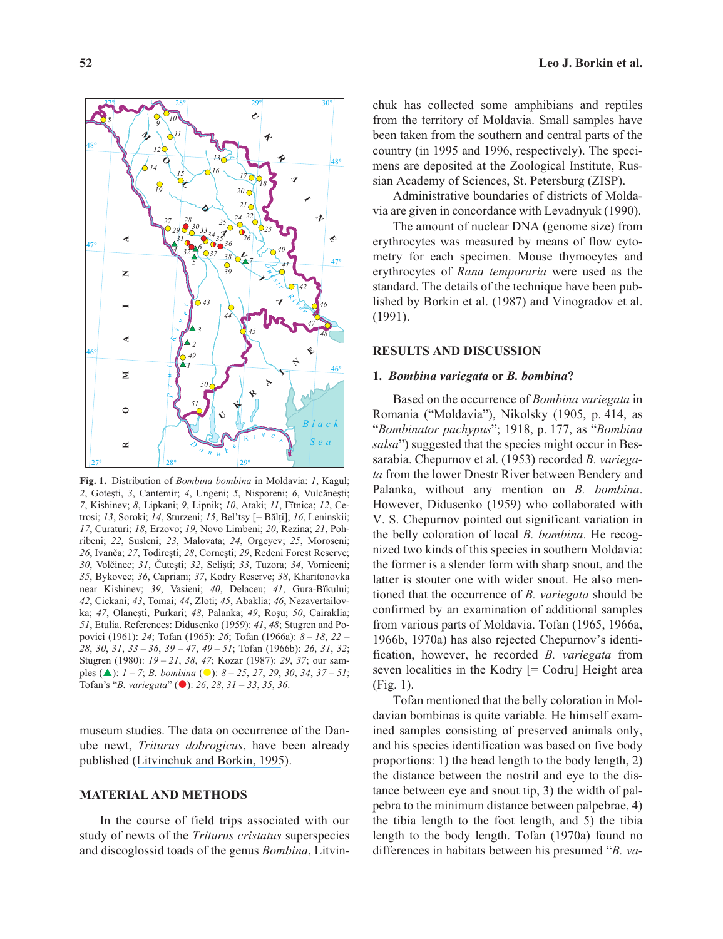

**Fig. 1.** Distribution of *Bombina bombina* in Moldavia: *1*, Kagul; 2, Gotești, 3, Cantemir; 4, Ungeni; 5, Nisporeni; 6, Vulcănești; *7*, Kishinev; *8*, Lipkani; *9*, Lipnik; *10*, Ataki; *11*, Fïtnica; *12*, Cetrosi; *13*, Soroki; *14*, Sturzeni; *15*, Bel'tsy [= Bãlþi]; *16*, Leninskii; *17*, Curaturi; *18*, Erzovo; *19*, Novo Limbeni; *20*, Rezina; *21*, Pohribeni; *22*, Susleni; *23*, Malovata; *24*, Orgeyev; *25*, Moroseni; 26, Ivanča; 27, Todirești; 28, Cornești; 29, Redeni Forest Reserve; *30*, Volèinec; *31*, Èuteþti; *32*, Seliþti; *33*, Tuzora; *34*, Vorniceni; *35*, Bykovec; *36*, Capriani; *37*, Kodry Reserve; *38*, Kharitonovka near Kishinev; *39*, Vasieni; *40*, Delaceu; *41*, Gura-Bïkului; *42*, Cickani; *43*, Tomai; *44*, Zloti; *45*, Abaklia; *46*, Nezavertailovka; 47, Olanești, Purkari; 48, Palanka; 49, Roșu; 50, Cairaklia; *51*, Etulia. References: Didusenko (1959): *41*, *48*; Stugren and Popovici (1961): *24*; Tofan (1965): *26*; Tofan (1966a): *8 – 18*, *22 – 28*, *30*, *31*, *33 – 36*, *39 – 47*, *49 – 51*; Tofan (1966b): *26*, *31*, *32*; Stugren (1980): *19 – 21*, *38*, *47*; Kozar (1987): *29*, *37*; our samples (!): *1–7*; *B. bombina* (!): *8 – 25*, *27*, *29*, *30*, *34*, *37 – 51*; Tofan's "*B. variegata*" (!): *26*, *28*, *31 – 33*, *35*, *36*.

museum studies. The data on occurrence of the Danube newt, *Triturus dobrogicus*, have been already published ([Litvinchuk and Borkin, 1995](https://www.researchgate.net/publication/233379125_FIRST_RECORD_OF_THE_DANUBE_NEWT_Triturus_dobrogicus_IN_MOLDAVIA?el=1_x_8&enrichId=rgreq-f7716a8adba90c962ed5f5c4b5391965-XXX&enrichSource=Y292ZXJQYWdlOzIzMzM3OTE0NjtBUzo5NzEyOTA0OTYyNDU3NkAxNDAwMTY4Nzc4MDUw)).

## **MATERIAL AND METHODS**

In the course of field trips associated with our study of newts of the *Triturus cristatus* superspecies and discoglossid toads of the genus *Bombina*, Litvinchuk has collected some amphibians and reptiles from the territory of Moldavia. Small samples have been taken from the southern and central parts of the country (in 1995 and 1996, respectively). The specimens are deposited at the Zoological Institute, Russian Academy of Sciences, St. Petersburg (ZISP).

Administrative boundaries of districts of Moldavia are given in concordance with Levadnyuk (1990).

The amount of nuclear DNA (genome size) from erythrocytes was measured by means of flow cytometry for each specimen. Mouse thymocytes and erythrocytes of *Rana temporaria* were used as the standard. The details of the technique have been published by Borkin et al. (1987) and Vinogradov et al. (1991).

## **RESULTS AND DISCUSSION**

#### **1.** *Bombina variegata* **or** *B. bombina***?**

Based on the occurrence of *Bombina variegata* in Romania ("Moldavia"), Nikolsky (1905, p. 414, as "*Bombinator pachypus*"; 1918, p. 177, as "*Bombina salsa*") suggested that the species might occur in Bessarabia. Chepurnov et al. (1953) recorded *B. variegata* from the lower Dnestr River between Bendery and Palanka, without any mention on *B. bombina*. However, Didusenko (1959) who collaborated with V. S. Chepurnov pointed out significant variation in the belly coloration of local *B. bombina*. He recognized two kinds of this species in southern Moldavia: the former is a slender form with sharp snout, and the latter is stouter one with wider snout. He also mentioned that the occurrence of *B. variegata* should be confirmed by an examination of additional samples from various parts of Moldavia. Tofan (1965, 1966a, 1966b, 1970a) has also rejected Chepurnov's identification, however, he recorded *B. variegata* from seven localities in the Kodry [= Codru] Height area (Fig. 1).

Tofan mentioned that the belly coloration in Moldavian bombinas is quite variable. He himself examined samples consisting of preserved animals only, and his species identification was based on five body proportions: 1) the head length to the body length, 2) the distance between the nostril and eye to the distance between eye and snout tip, 3) the width of palpebra to the minimum distance between palpebrae, 4) the tibia length to the foot length, and 5) the tibia length to the body length. Tofan (1970a) found no differences in habitats between his presumed "*B. va-*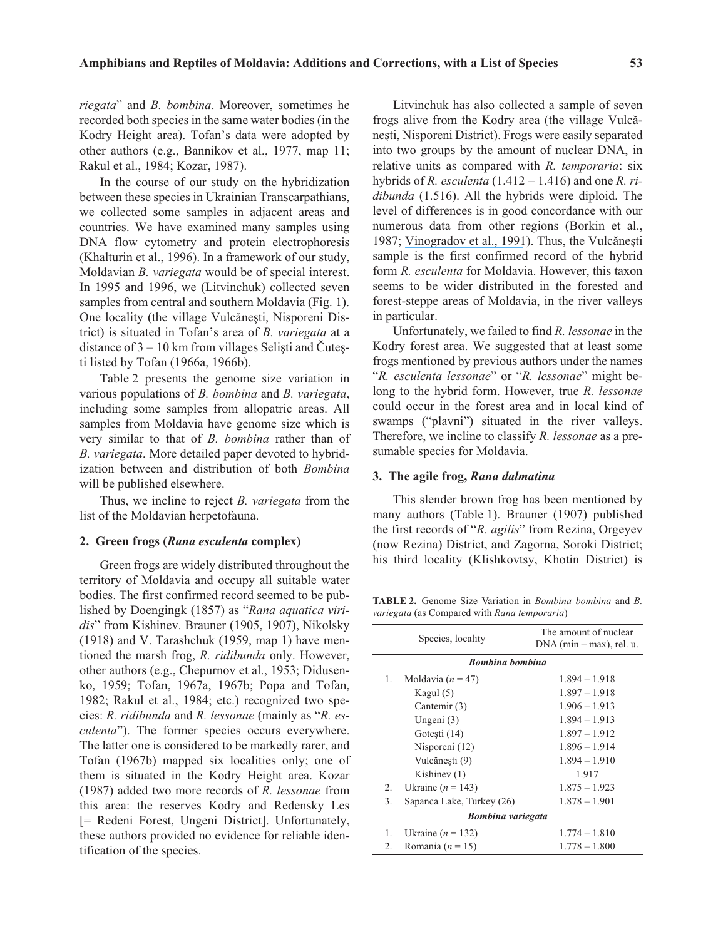*riegata*" and *B. bombina*. Moreover, sometimes he recorded both species in the same water bodies (in the Kodry Height area). Tofan's data were adopted by other authors (e.g., Bannikov et al., 1977, map 11; Rakul et al., 1984; Kozar, 1987).

In the course of our study on the hybridization between these species in Ukrainian Transcarpathians, we collected some samples in adjacent areas and countries. We have examined many samples using DNA flow cytometry and protein electrophoresis (Khalturin et al., 1996). In a framework of our study, Moldavian *B. variegata* would be of special interest. In 1995 and 1996, we (Litvinchuk) collected seven samples from central and southern Moldavia (Fig. 1). One locality (the village Vulcănești, Nisporeni District) is situated in Tofan's area of *B. variegata* at a distance of  $3 - 10$  km from villages Selişti and Čuteşti listed by Tofan (1966a, 1966b).

Table 2 presents the genome size variation in various populations of *B. bombina* and *B. variegata*, including some samples from allopatric areas. All samples from Moldavia have genome size which is very similar to that of *B. bombina* rather than of *B. variegata*. More detailed paper devoted to hybridization between and distribution of both *Bombina* will be published elsewhere.

Thus, we incline to reject *B. variegata* from the list of the Moldavian herpetofauna.

## **2. Green frogs (***Rana esculenta* **complex)**

Green frogs are widely distributed throughout the territory of Moldavia and occupy all suitable water bodies. The first confirmed record seemed to be published by Doengingk (1857) as "*Rana aquatica viridis*" from Kishinev. Brauner (1905, 1907), Nikolsky (1918) and V. Tarashchuk (1959, map 1) have mentioned the marsh frog, *R. ridibunda* only. However, other authors (e.g., Chepurnov et al., 1953; Didusenko, 1959; Tofan, 1967a, 1967b; Popa and Tofan, 1982; Rakul et al., 1984; etc.) recognized two species: *R. ridibunda* and *R. lessonae* (mainly as "*R. esculenta*"). The former species occurs everywhere. The latter one is considered to be markedly rarer, and Tofan (1967b) mapped six localities only; one of them is situated in the Kodry Height area. Kozar (1987) added two more records of *R. lessonae* from this area: the reserves Kodry and Redensky Les [= Redeni Forest, Ungeni District]. Unfortunately, these authors provided no evidence for reliable identification of the species.

Litvinchuk has also collected a sample of seven frogs alive from the Kodry area (the village Vulcãnești, Nisporeni District). Frogs were easily separated into two groups by the amount of nuclear DNA, in relative units as compared with *R. temporaria*: six hybrids of *R. esculenta* (1.412 – 1.416) and one *R. ridibunda* (1.516). All the hybrids were diploid. The level of differences is in good concordance with our numerous data from other regions (Borkin et al., 1987; [Vinogradov et al., 1991](https://www.researchgate.net/publication/20894208_Genome_elimination_in_diploid_and_triploid_Rana_esculentus_males_Cytological_evidence_from_DNA_flow_cytometry?el=1_x_8&enrichId=rgreq-f7716a8adba90c962ed5f5c4b5391965-XXX&enrichSource=Y292ZXJQYWdlOzIzMzM3OTE0NjtBUzo5NzEyOTA0OTYyNDU3NkAxNDAwMTY4Nzc4MDUw)). Thus, the Vulcănești sample is the first confirmed record of the hybrid form *R. esculenta* for Moldavia. However, this taxon seems to be wider distributed in the forested and forest-steppe areas of Moldavia, in the river valleys in particular.

Unfortunately, we failed to find *R. lessonae* in the Kodry forest area. We suggested that at least some frogs mentioned by previous authors under the names "*R. esculenta lessonae*" or "*R. lessonae*" might belong to the hybrid form. However, true *R. lessonae* could occur in the forest area and in local kind of swamps ("plavni") situated in the river valleys. Therefore, we incline to classify *R. lessonae* as a presumable species for Moldavia.

## **3. The agile frog,** *Rana dalmatina*

This slender brown frog has been mentioned by many authors (Table 1). Brauner (1907) published the first records of "*R. agilis*" from Rezina, Orgeyev (now Rezina) District, and Zagorna, Soroki District; his third locality (Klishkovtsy, Khotin District) is

**TABLE 2.** Genome Size Variation in *Bombina bombina* and *B. variegata* (as Compared with *Rana temporaria*)

| Species, locality      |                           | The amount of nuclear<br>$DNA (min-max)$ , rel. u. |  |  |  |
|------------------------|---------------------------|----------------------------------------------------|--|--|--|
| <b>Bombina</b> bombina |                           |                                                    |  |  |  |
| 1.                     | Moldavia ( $n = 47$ )     | $1.894 - 1.918$                                    |  |  |  |
|                        | Kagul $(5)$               | $1.897 - 1.918$                                    |  |  |  |
|                        | Cantemir (3)              | $1.906 - 1.913$                                    |  |  |  |
|                        | Ungeni (3)                | $1.894 - 1.913$                                    |  |  |  |
|                        | Gotesti (14)              | $1.897 - 1.912$                                    |  |  |  |
|                        | Nisporeni (12)            | $1.896 - 1.914$                                    |  |  |  |
|                        | Vulcănești (9)            | $1.894 - 1.910$                                    |  |  |  |
|                        | Kishinev $(1)$            | 1.917                                              |  |  |  |
| 2.                     | Ukraine ( $n = 143$ )     | $1.875 - 1.923$                                    |  |  |  |
| 3.                     | Sapanca Lake, Turkey (26) | $1.878 - 1.901$                                    |  |  |  |
|                        | Bombina variegata         |                                                    |  |  |  |
| 1.                     | Ukraine ( $n = 132$ )     | $1.774 - 1.810$                                    |  |  |  |
| 2.                     | Romania ( $n = 15$ )      | $1.778 - 1.800$                                    |  |  |  |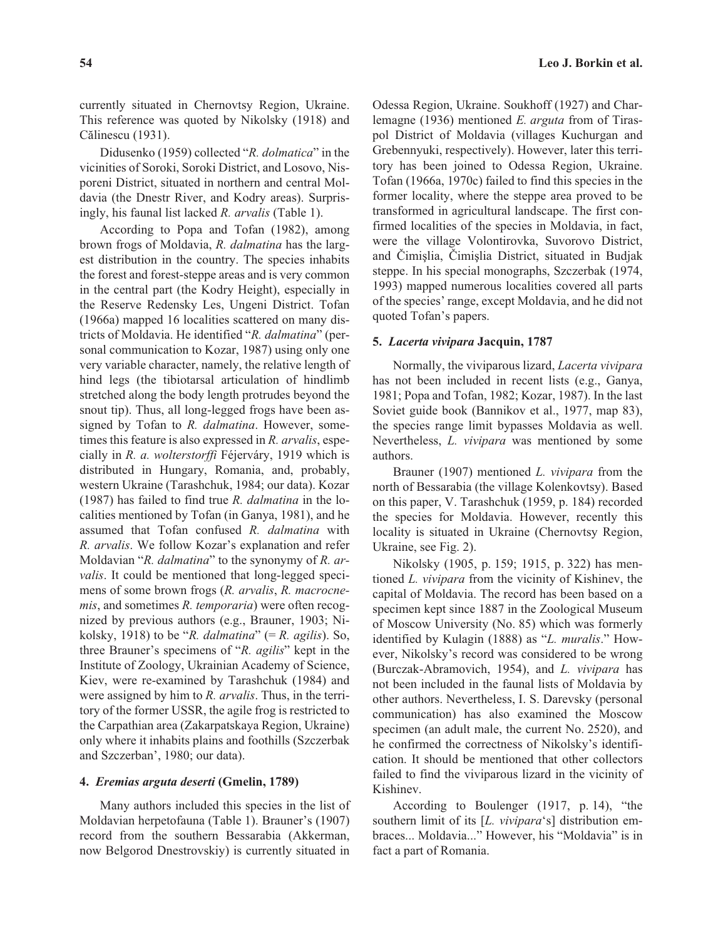currently situated in Chernovtsy Region, Ukraine. This reference was quoted by Nikolsky (1918) and Cãlinescu (1931).

Didusenko (1959) collected "*R. dolmatica*" in the vicinities of Soroki, Soroki District, and Losovo, Nisporeni District, situated in northern and central Moldavia (the Dnestr River, and Kodry areas). Surprisingly, his faunal list lacked *R. arvalis* (Table 1).

According to Popa and Tofan (1982), among brown frogs of Moldavia, *R. dalmatina* has the largest distribution in the country. The species inhabits the forest and forest-steppe areas and is very common in the central part (the Kodry Height), especially in the Reserve Redensky Les, Ungeni District. Tofan (1966a) mapped 16 localities scattered on many districts of Moldavia. He identified "*R. dalmatina*" (personal communication to Kozar, 1987) using only one very variable character, namely, the relative length of hind legs (the tibiotarsal articulation of hindlimb stretched along the body length protrudes beyond the snout tip). Thus, all long-legged frogs have been assigned by Tofan to *R. dalmatina*. However, sometimes this feature is also expressed in *R. arvalis*, especially in *R. a. wolterstorffi* Féjerváry, 1919 which is distributed in Hungary, Romania, and, probably, western Ukraine (Tarashchuk, 1984; our data). Kozar (1987) has failed to find true *R. dalmatina* in the localities mentioned by Tofan (in Ganya, 1981), and he assumed that Tofan confused *R. dalmatina* with *R. arvalis*. We follow Kozar's explanation and refer Moldavian "*R. dalmatina*" to the synonymy of *R. arvalis*. It could be mentioned that long-legged specimens of some brown frogs (*R. arvalis*, *R. macrocnemis*, and sometimes *R. temporaria*) were often recognized by previous authors (e.g., Brauner, 1903; Nikolsky, 1918) to be "*R. dalmatina*" (= *R. agilis*). So, three Brauner's specimens of "*R. agilis*" kept in the Institute of Zoology, Ukrainian Academy of Science, Kiev, were re-examined by Tarashchuk (1984) and were assigned by him to *R. arvalis*. Thus, in the territory of the former USSR, the agile frog is restricted to the Carpathian area (Zakarpatskaya Region, Ukraine) only where it inhabits plains and foothills (Szczerbak and Szczerban', 1980; our data).

#### **4.** *Eremias arguta deserti* **(Gmelin, 1789)**

Many authors included this species in the list of Moldavian herpetofauna (Table 1). Brauner's (1907) record from the southern Bessarabia (Akkerman, now Belgorod Dnestrovskiy) is currently situated in

Odessa Region, Ukraine. Soukhoff (1927) and Charlemagne (1936) mentioned *E. arguta* from of Tiraspol District of Moldavia (villages Kuchurgan and Grebennyuki, respectively). However, later this territory has been joined to Odessa Region, Ukraine. Tofan (1966a, 1970c) failed to find this species in the former locality, where the steppe area proved to be transformed in agricultural landscape. The first confirmed localities of the species in Moldavia, in fact, were the village Volontirovka, Suvorovo District, and Èimiþlia, Èimiþlia District, situated in Budjak steppe. In his special monographs, Szczerbak (1974, 1993) mapped numerous localities covered all parts

#### **5.** *Lacerta vivipara* **Jacquin, 1787**

quoted Tofan's papers.

Normally, the viviparous lizard, *Lacerta vivipara* has not been included in recent lists (e.g., Ganya, 1981; Popa and Tofan, 1982; Kozar, 1987). In the last Soviet guide book (Bannikov et al., 1977, map 83), the species range limit bypasses Moldavia as well. Nevertheless, *L. vivipara* was mentioned by some authors.

of the species' range, except Moldavia, and he did not

Brauner (1907) mentioned *L. vivipara* from the north of Bessarabia (the village Kolenkovtsy). Based on this paper, V. Tarashchuk (1959, p. 184) recorded the species for Moldavia. However, recently this locality is situated in Ukraine (Chernovtsy Region, Ukraine, see Fig. 2).

Nikolsky (1905, p. 159; 1915, p. 322) has mentioned *L. vivipara* from the vicinity of Kishinev, the capital of Moldavia. The record has been based on a specimen kept since 1887 in the Zoological Museum of Moscow University (No. 85) which was formerly identified by Kulagin (1888) as "*L. muralis*." However, Nikolsky's record was considered to be wrong (Burczak-Abramovich, 1954), and *L. vivipara* has not been included in the faunal lists of Moldavia by other authors. Nevertheless, I. S. Darevsky (personal communication) has also examined the Moscow specimen (an adult male, the current No. 2520), and he confirmed the correctness of Nikolsky's identification. It should be mentioned that other collectors failed to find the viviparous lizard in the vicinity of Kishinev.

According to Boulenger (1917, p. 14), "the southern limit of its [*L. vivipara*'s] distribution embraces... Moldavia..." However, his "Moldavia" is in fact a part of Romania.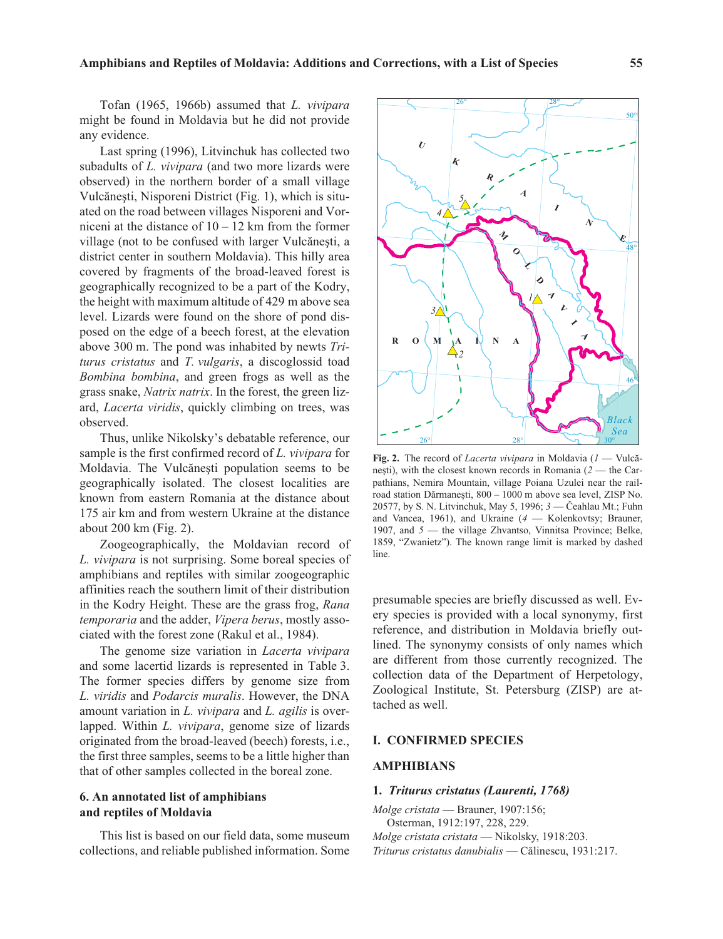Tofan (1965, 1966b) assumed that *L. vivipara* might be found in Moldavia but he did not provide any evidence.

Last spring (1996), Litvinchuk has collected two subadults of *L. vivipara* (and two more lizards were observed) in the northern border of a small village Vulcănești, Nisporeni District (Fig. 1), which is situated on the road between villages Nisporeni and Vorniceni at the distance of  $10 - 12$  km from the former village (not to be confused with larger Vulcănești, a district center in southern Moldavia). This hilly area covered by fragments of the broad-leaved forest is geographically recognized to be a part of the Kodry, the height with maximum altitude of 429 m above sea level. Lizards were found on the shore of pond disposed on the edge of a beech forest, at the elevation above 300 m. The pond was inhabited by newts *Triturus cristatus* and *T. vulgaris*, a discoglossid toad *Bombina bombina*, and green frogs as well as the grass snake, *Natrix natrix*. In the forest, the green lizard, *Lacerta viridis*, quickly climbing on trees, was observed.

Thus, unlike Nikolsky's debatable reference, our sample is the first confirmed record of *L. vivipara* for Moldavia. The Vulcănești population seems to be geographically isolated. The closest localities are known from eastern Romania at the distance about 175 air km and from western Ukraine at the distance about 200 km (Fig. 2).

Zoogeographically, the Moldavian record of *L. vivipara* is not surprising. Some boreal species of amphibians and reptiles with similar zoogeographic affinities reach the southern limit of their distribution in the Kodry Height. These are the grass frog, *Rana temporaria* and the adder, *Vipera berus*, mostly associated with the forest zone (Rakul et al., 1984).

The genome size variation in *Lacerta vivipara* and some lacertid lizards is represented in Table 3. The former species differs by genome size from *L. viridis* and *Podarcis muralis*. However, the DNA amount variation in *L. vivipara* and *L. agilis* is overlapped. Within *L. vivipara*, genome size of lizards originated from the broad-leaved (beech) forests, i.e., the first three samples, seems to be a little higher than that of other samples collected in the boreal zone.

# **6. An annotated list of amphibians and reptiles of Moldavia**

This list is based on our field data, some museum collections, and reliable published information. Some

**Fig. 2.** The record of *Lacerta vivipara* in Moldavia (*1* — Vulcãnești), with the closest known records in Romania (2 — the Carpathians, Nemira Mountain, village Poiana Uzulei near the railroad station Dărmanești, 800 – 1000 m above sea level, ZISP No. 20577, by S. N. Litvinchuk, May 5, 1996; *3* — Èeahlau Mt.; Fuhn and Vancea, 1961), and Ukraine (*4* — Kolenkovtsy; Brauner, 1907, and *5* — the village Zhvantso, Vinnitsa Province; Belke, 1859, "Zwanietz"). The known range limit is marked by dashed line.

presumable species are briefly discussed as well. Every species is provided with a local synonymy, first reference, and distribution in Moldavia briefly outlined. The synonymy consists of only names which are different from those currently recognized. The collection data of the Department of Herpetology, Zoological Institute, St. Petersburg (ZISP) are attached as well.

## **I. CONFIRMED SPECIES**

## **AMPHIBIANS**

#### **1.** *Triturus cristatus (Laurenti, 1768)*

*Molge cristata* — Brauner, 1907:156; Osterman, 1912:197, 228, 229. *Molge cristata cristata* — Nikolsky, 1918:203. *Triturus cristatus danubialis* — Cãlinescu, 1931:217.



28°

 $26^{\circ}$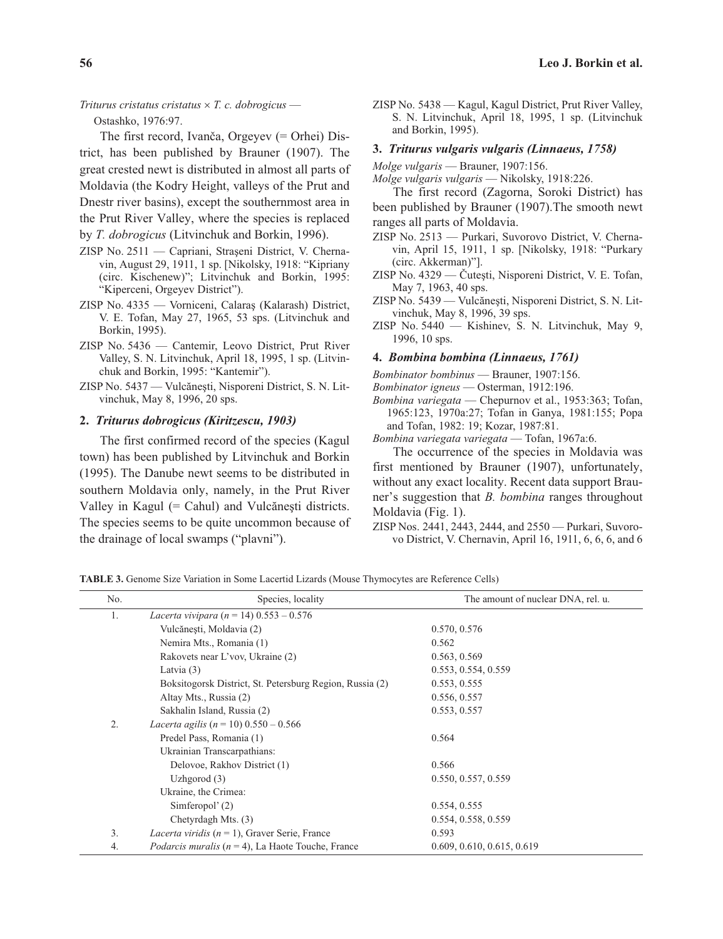#### $Triturus$   $critatus$   $critatus \times T$ .  $c$ .  $dobrogicus$  —

Ostashko, 1976:97.

The first record, Ivanèa, Orgeyev (= Orhei) District, has been published by Brauner (1907). The great crested newt is distributed in almost all parts of Moldavia (the Kodry Height, valleys of the Prut and Dnestr river basins), except the southernmost area in the Prut River Valley, where the species is replaced by *T. dobrogicus* (Litvinchuk and Borkin, 1996).

- ZISP No. 2511 Capriani, Strașeni District, V. Chernavin, August 29, 1911, 1 sp. [Nikolsky, 1918: "Kipriany (circ. Kischenew)"; Litvinchuk and Borkin, 1995: "Kiperceni, Orgeyev District").
- ZISP No. 4335 Vorniceni, Calaraș (Kalarash) District, V. E. Tofan, May 27, 1965, 53 sps. (Litvinchuk and Borkin, 1995).
- ZISP No. 5436 Cantemir, Leovo District, Prut River Valley, S. N. Litvinchuk, April 18, 1995, 1 sp. (Litvinchuk and Borkin, 1995: "Kantemir").
- ZISP No. 5437 Vulcănești, Nisporeni District, S. N. Litvinchuk, May 8, 1996, 20 sps.

## **2.** *Triturus dobrogicus (Kiritzescu, 1903)*

The first confirmed record of the species (Kagul town) has been published by Litvinchuk and Borkin (1995). The Danube newt seems to be distributed in southern Moldavia only, namely, in the Prut River Valley in Kagul  $(=$  Cahul) and Vulcănești districts. The species seems to be quite uncommon because of the drainage of local swamps ("plavni").

ZISP No. 5438 — Kagul, Kagul District, Prut River Valley, S. N. Litvinchuk, April 18, 1995, 1 sp. (Litvinchuk and Borkin, 1995).

#### **3.** *Triturus vulgaris vulgaris (Linnaeus, 1758)*

*Molge vulgaris* — Brauner, 1907:156.

*Molge vulgaris vulgaris* — Nikolsky, 1918:226.

The first record (Zagorna, Soroki District) has been published by Brauner (1907).The smooth newt ranges all parts of Moldavia.

- ZISP No. 2513 Purkari, Suvorovo District, V. Chernavin, April 15, 1911, 1 sp. [Nikolsky, 1918: "Purkary (circ. Akkerman)"].
- ZISP No. 4329 Čutești, Nisporeni District, V. E. Tofan, May 7, 1963, 40 sps.
- ZISP No. 5439 Vulcănești, Nisporeni District, S. N. Litvinchuk, May 8, 1996, 39 sps.
- ZISP No. 5440 Kishinev, S. N. Litvinchuk, May 9, 1996, 10 sps.

#### **4.** *Bombina bombina (Linnaeus, 1761)*

*Bombinator bombinus* — Brauner, 1907:156.

- *Bombinator igneus* Osterman, 1912:196.
- *Bombina variegata* Chepurnov et al., 1953:363; Tofan, 1965:123, 1970a:27; Tofan in Ganya, 1981:155; Popa and Tofan, 1982: 19; Kozar, 1987:81.

*Bombina variegata variegata* — Tofan, 1967a:6.

The occurrence of the species in Moldavia was first mentioned by Brauner (1907), unfortunately, without any exact locality. Recent data support Brauner's suggestion that *B. bombina* ranges throughout Moldavia (Fig. 1).

ZISP Nos. 2441, 2443, 2444, and 2550 — Purkari, Suvorovo District, V. Chernavin, April 16, 1911, 6, 6, 6, and 6

**TABLE 3.** Genome Size Variation in Some Lacertid Lizards (Mouse Thymocytes are Reference Cells)

| No. | Species, locality                                            | The amount of nuclear DNA, rel. u. |
|-----|--------------------------------------------------------------|------------------------------------|
| 1.  | Lacerta vivipara (n = 14) $0.553 - 0.576$                    |                                    |
|     | Vulcănești, Moldavia (2)                                     | 0.570, 0.576                       |
|     | Nemira Mts., Romania (1)                                     | 0.562                              |
|     | Rakovets near L'vov, Ukraine (2)                             | 0.563, 0.569                       |
|     | Latvia $(3)$                                                 | 0.553, 0.554, 0.559                |
|     | Boksitogorsk District, St. Petersburg Region, Russia (2)     | 0.553, 0.555                       |
|     | Altay Mts., Russia (2)                                       | 0.556, 0.557                       |
|     | Sakhalin Island, Russia (2)                                  | 0.553, 0.557                       |
| 2.  | Lacerta agilis ( $n = 10$ ) 0.550 - 0.566                    |                                    |
|     | Predel Pass, Romania (1)                                     | 0.564                              |
|     | Ukrainian Transcarpathians:                                  |                                    |
|     | Delovoe, Rakhov District (1)                                 | 0.566                              |
|     | Uzhgorod $(3)$                                               | 0.550, 0.557, 0.559                |
|     | Ukraine, the Crimea:                                         |                                    |
|     | Simferopol' (2)                                              | 0.554, 0.555                       |
|     | Chetyrdagh Mts. (3)                                          | 0.554, 0.558, 0.559                |
| 3.  | <i>Lacerta viridis</i> ( $n = 1$ ), Graver Serie, France     | 0.593                              |
| 4.  | <i>Podarcis muralis</i> ( $n = 4$ ), La Haote Touche, France | 0.609, 0.610, 0.615, 0.619         |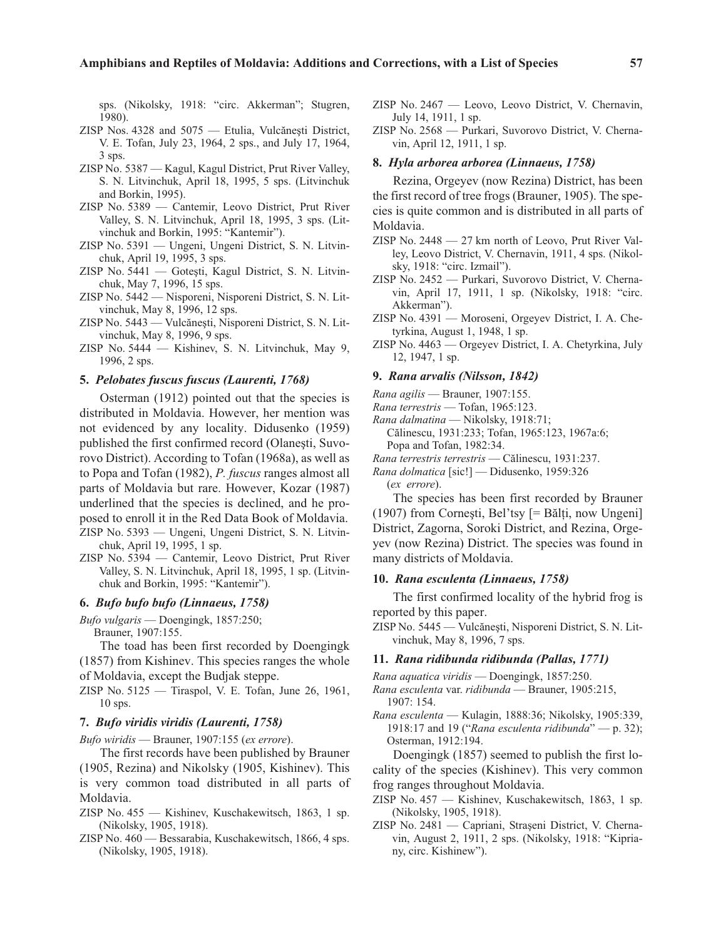sps. (Nikolsky, 1918: "circ. Akkerman"; Stugren, 1980).

- ZISP Nos. 4328 and 5075 Etulia, Vulcănești District, V. E. Tofan, July 23, 1964, 2 sps., and July 17, 1964, 3 sps.
- ZISP No. 5387 Kagul, Kagul District, Prut River Valley, S. N. Litvinchuk, April 18, 1995, 5 sps. (Litvinchuk and Borkin, 1995).
- ZISP No. 5389 Cantemir, Leovo District, Prut River Valley, S. N. Litvinchuk, April 18, 1995, 3 sps. (Litvinchuk and Borkin, 1995: "Kantemir").
- ZISP No. 5391 Ungeni, Ungeni District, S. N. Litvinchuk, April 19, 1995, 3 sps.
- $ZISP$  No. 5441 Gotești, Kagul District, S. N. Litvinchuk, May 7, 1996, 15 sps.
- ZISP No. 5442 Nisporeni, Nisporeni District, S. N. Litvinchuk, May 8, 1996, 12 sps.
- ZISP No. 5443 Vulcănești, Nisporeni District, S. N. Litvinchuk, May 8, 1996, 9 sps.
- ZISP No. 5444 Kishinev, S. N. Litvinchuk, May 9, 1996, 2 sps.

#### **5.** *Pelobates fuscus fuscus (Laurenti, 1768)*

Osterman (1912) pointed out that the species is distributed in Moldavia. However, her mention was not evidenced by any locality. Didusenko (1959) published the first confirmed record (Olanesti, Suvorovo District). According to Tofan (1968a), as well as to Popa and Tofan (1982), *P. fuscus* ranges almost all parts of Moldavia but rare. However, Kozar (1987) underlined that the species is declined, and he proposed to enroll it in the Red Data Book of Moldavia. ZISP No. 5393 — Ungeni, Ungeni District, S. N. Litvinchuk, April 19, 1995, 1 sp.

ZISP No. 5394 — Cantemir, Leovo District, Prut River Valley, S. N. Litvinchuk, April 18, 1995, 1 sp. (Litvinchuk and Borkin, 1995: "Kantemir").

#### **6.** *Bufo bufo bufo (Linnaeus, 1758)*

*Bufo vulgaris* — Doengingk, 1857:250; Brauner, 1907:155.

The toad has been first recorded by Doengingk (1857) from Kishinev. This species ranges the whole of Moldavia, except the Budjak steppe.

ZISP No. 5125 — Tiraspol, V. E. Tofan, June 26, 1961, 10 sps.

#### **7.** *Bufo viridis viridis (Laurenti, 1758)*

*Bufo wiridis* — Brauner, 1907:155 (*ex errore*).

The first records have been published by Brauner (1905, Rezina) and Nikolsky (1905, Kishinev). This is very common toad distributed in all parts of Moldavia.

- ZISP No. 455 Kishinev, Kuschakewitsch, 1863, 1 sp. (Nikolsky, 1905, 1918).
- ZISP No. 460 Bessarabia, Kuschakewitsch, 1866, 4 sps. (Nikolsky, 1905, 1918).
- ZISP No. 2467 Leovo, Leovo District, V. Chernavin, July 14, 1911, 1 sp.
- ZISP No. 2568 Purkari, Suvorovo District, V. Chernavin, April 12, 1911, 1 sp.

## **8.** *Hyla arborea arborea (Linnaeus, 1758)*

Rezina, Orgeyev (now Rezina) District, has been the first record of tree frogs (Brauner, 1905). The species is quite common and is distributed in all parts of Moldavia.

- ZISP No. 2448 27 km north of Leovo, Prut River Valley, Leovo District, V. Chernavin, 1911, 4 sps. (Nikolsky, 1918: "circ. Izmail").
- ZISP No. 2452 Purkari, Suvorovo District, V. Chernavin, April 17, 1911, 1 sp. (Nikolsky, 1918: "circ. Akkerman").
- ZISP No. 4391 Moroseni, Orgeyev District, I. A. Chetyrkina, August 1, 1948, 1 sp.
- ZISP No. 4463 Orgeyev District, I. A. Chetyrkina, July 12, 1947, 1 sp.

#### **9.** *Rana arvalis (Nilsson, 1842)*

- *Rana agilis* Brauner, 1907:155.
- *Rana terrestris* Tofan, 1965:123.
- *Rana dalmatina* Nikolsky, 1918:71;
	- Cãlinescu, 1931:233; Tofan, 1965:123, 1967a:6; Popa and Tofan, 1982:34.
- *Rana terrestris terrestris* Cãlinescu, 1931:237.

*Rana dolmatica* [sic!] — Didusenko, 1959:326 (*ex errore*).

The species has been first recorded by Brauner  $(1907)$  from Cornești, Bel'tsy  $[= B$ ălți, now Ungeni] District, Zagorna, Soroki District, and Rezina, Orgeyev (now Rezina) District. The species was found in many districts of Moldavia.

#### **10.** *Rana esculenta (Linnaeus, 1758)*

The first confirmed locality of the hybrid frog is reported by this paper.

ZISP No. 5445 — Vulcănești, Nisporeni District, S. N. Litvinchuk, May 8, 1996, 7 sps.

#### **11.** *Rana ridibunda ridibunda (Pallas, 1771)*

*Rana aquatica viridis* — Doengingk, 1857:250.

- *Rana esculenta* var. *ridibunda* Brauner, 1905:215, 1907: 154.
- *Rana esculenta* Kulagin, 1888:36; Nikolsky, 1905:339, 1918:17 and 19 ("*Rana esculenta ridibunda*" — p. 32); Osterman, 1912:194.

Doengingk (1857) seemed to publish the first locality of the species (Kishinev). This very common frog ranges throughout Moldavia.

- ZISP No. 457 Kishinev, Kuschakewitsch, 1863, 1 sp. (Nikolsky, 1905, 1918).
- ZISP No. 2481 Capriani, Straseni District, V. Chernavin, August 2, 1911, 2 sps. (Nikolsky, 1918: "Kipriany, circ. Kishinew").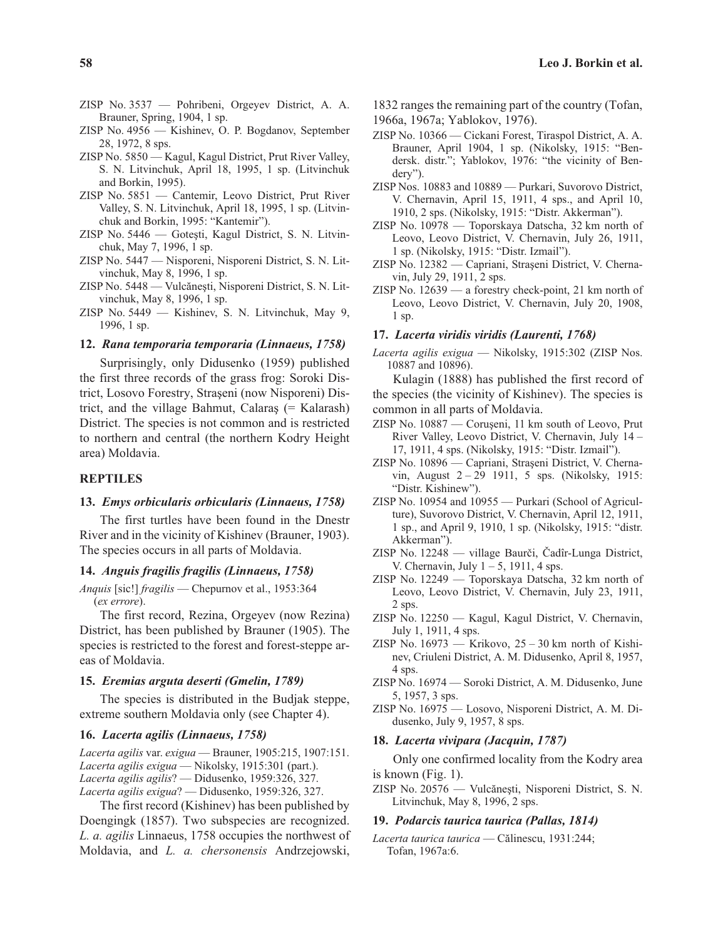- ZISP No. 3537 Pohribeni, Orgeyev District, A. A. Brauner, Spring, 1904, 1 sp.
- ZISP No. 4956 Kishinev, O. P. Bogdanov, September 28, 1972, 8 sps.
- ZISP No. 5850 Kagul, Kagul District, Prut River Valley, S. N. Litvinchuk, April 18, 1995, 1 sp. (Litvinchuk and Borkin, 1995).
- ZISP No. 5851 Cantemir, Leovo District, Prut River Valley, S. N. Litvinchuk, April 18, 1995, 1 sp. (Litvinchuk and Borkin, 1995: "Kantemir").
- $ZISP$  No. 5446 Gotesti, Kagul District, S. N. Litvinchuk, May 7, 1996, 1 sp.
- ZISP No. 5447 Nisporeni, Nisporeni District, S. N. Litvinchuk, May 8, 1996, 1 sp.
- ZISP No. 5448 Vulcănești, Nisporeni District, S. N. Litvinchuk, May 8, 1996, 1 sp.
- ZISP No. 5449 Kishinev, S. N. Litvinchuk, May 9, 1996, 1 sp.

## **12.** *Rana temporaria temporaria (Linnaeus, 1758)*

Surprisingly, only Didusenko (1959) published the first three records of the grass frog: Soroki District, Losovo Forestry, Strașeni (now Nisporeni) District, and the village Bahmut, Calaraş  $(=$  Kalarash $)$ District. The species is not common and is restricted to northern and central (the northern Kodry Height area) Moldavia.

#### **REPTILES**

## **13.** *Emys orbicularis orbicularis (Linnaeus, 1758)*

The first turtles have been found in the Dnestr River and in the vicinity of Kishinev (Brauner, 1903). The species occurs in all parts of Moldavia.

#### **14.** *Anguis fragilis fragilis (Linnaeus, 1758)*

*Anquis* [sic!] *fragilis* — Chepurnov et al., 1953:364 (*ex errore*).

The first record, Rezina, Orgeyev (now Rezina) District, has been published by Brauner (1905). The species is restricted to the forest and forest-steppe areas of Moldavia.

## **15.** *Eremias arguta deserti (Gmelin, 1789)*

The species is distributed in the Budjak steppe, extreme southern Moldavia only (see Chapter 4).

#### **16.** *Lacerta agilis (Linnaeus, 1758)*

*Lacerta agilis* var. *exigua* — Brauner, 1905:215, 1907:151. *Lacerta agilis exigua* — Nikolsky, 1915:301 (part.). *Lacerta agilis agilis*? — Didusenko, 1959:326, 327. *Lacerta agilis exigua*? — Didusenko, 1959:326, 327.

The first record (Kishinev) has been published by Doengingk (1857). Two subspecies are recognized. *L. a. agilis* Linnaeus, 1758 occupies the northwest of Moldavia, and *L. a. chersonensis* Andrzejowski,

- 1832 ranges the remaining part of the country (Tofan,
- 1966a, 1967a; Yablokov, 1976).
- ZISP No. 10366 Cickani Forest, Tiraspol District, A. A. Brauner, April 1904, 1 sp. (Nikolsky, 1915: "Bendersk. distr."; Yablokov, 1976: "the vicinity of Bendery").
- ZISP Nos. 10883 and 10889 Purkari, Suvorovo District, V. Chernavin, April 15, 1911, 4 sps., and April 10, 1910, 2 sps. (Nikolsky, 1915: "Distr. Akkerman").
- ZISP No. 10978 Toporskaya Datscha, 32 km north of Leovo, Leovo District, V. Chernavin, July 26, 1911, 1 sp. (Nikolsky, 1915: "Distr. Izmail").
- ZISP No. 12382 Capriani, Strașeni District, V. Chernavin, July 29, 1911, 2 sps.
- ZISP No. 12639 a forestry check-point, 21 km north of Leovo, Leovo District, V. Chernavin, July 20, 1908, 1 sp.

## **17.** *Lacerta viridis viridis (Laurenti, 1768)*

*Lacerta agilis exigua* — Nikolsky, 1915:302 (ZISP Nos. 10887 and 10896).

Kulagin (1888) has published the first record of the species (the vicinity of Kishinev). The species is common in all parts of Moldavia.

- ZISP No. 10887 Corușeni, 11 km south of Leovo, Prut River Valley, Leovo District, V. Chernavin, July 14 – 17, 1911, 4 sps. (Nikolsky, 1915: "Distr. Izmail").
- ZISP No. 10896 Capriani, Strașeni District, V. Chernavin, August 2 – 29 1911, 5 sps. (Nikolsky, 1915: "Distr. Kishinew").
- ZISP No. 10954 and 10955 Purkari (School of Agriculture), Suvorovo District, V. Chernavin, April 12, 1911, 1 sp., and April 9, 1910, 1 sp. (Nikolsky, 1915: "distr. Akkerman").
- ZISP No. 12248 village Baurèi, Èadîr-Lunga District, V. Chernavin, July  $1 - 5$ , 1911, 4 sps.
- ZISP No. 12249 Toporskaya Datscha, 32 km north of Leovo, Leovo District, V. Chernavin, July 23, 1911, 2 sps.
- ZISP No. 12250 Kagul, Kagul District, V. Chernavin, July 1, 1911, 4 sps.
- ZISP No.  $16973$  Krikovo,  $25 30$  km north of Kishinev, Criuleni District, A. M. Didusenko, April 8, 1957, 4 sps.
- ZISP No. 16974 Soroki District, A. M. Didusenko, June 5, 1957, 3 sps.
- ZISP No. 16975 Losovo, Nisporeni District, A. M. Didusenko, July 9, 1957, 8 sps.

#### **18.** *Lacerta vivipara (Jacquin, 1787)*

Only one confirmed locality from the Kodry area is known (Fig. 1).

ZISP No. 20576 — Vulcănești, Nisporeni District, S. N. Litvinchuk, May 8, 1996, 2 sps.

#### **19.** *Podarcis taurica taurica (Pallas, 1814)*

*Lacerta taurica taurica* — Cãlinescu, 1931:244; Tofan, 1967a:6.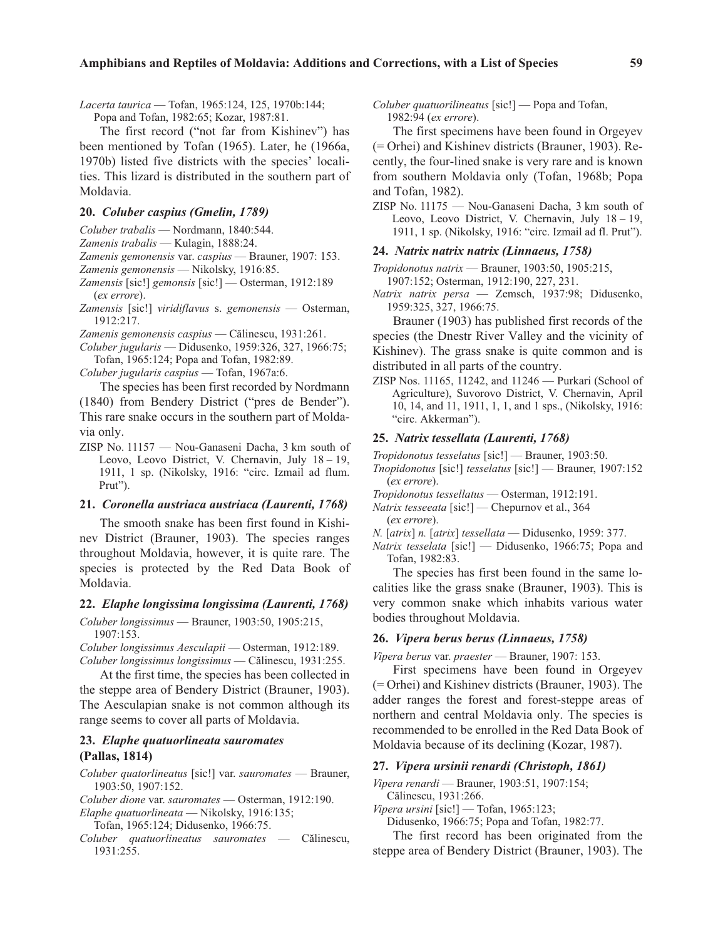*Lacerta taurica* — Tofan, 1965:124, 125, 1970b:144;

Popa and Tofan, 1982:65; Kozar, 1987:81.

The first record ("not far from Kishinev") has been mentioned by Tofan (1965). Later, he (1966a, 1970b) listed five districts with the species' localities. This lizard is distributed in the southern part of Moldavia.

## **20.** *Coluber caspius (Gmelin, 1789)*

*Coluber trabalis* — Nordmann, 1840:544.

*Zamenis trabalis* — Kulagin, 1888:24.

*Zamenis gemonensis* var. *caspius* — Brauner, 1907: 153.

*Zamenis gemonensis* — Nikolsky, 1916:85.

- *Zamensis* [sic!] *gemonsis* [sic!] Osterman, 1912:189 (*ex errore*).
- *Zamensis* [sic!] *viridiflavus* s. *gemonensis* Osterman, 1912:217.

*Zamenis gemonensis caspius* — Cãlinescu, 1931:261.

*Coluber jugularis* — Didusenko, 1959:326, 327, 1966:75; Tofan, 1965:124; Popa and Tofan, 1982:89.

*Coluber jugularis caspius* — Tofan, 1967a:6.

The species has been first recorded by Nordmann (1840) from Bendery District ("pres de Bender"). This rare snake occurs in the southern part of Moldavia only.

ZISP No. 11157 — Nou-Ganaseni Dacha, 3 km south of Leovo, Leovo District, V. Chernavin, July 18 – 19, 1911, 1 sp. (Nikolsky, 1916: "circ. Izmail ad flum. Prut").

# **21.** *Coronella austriaca austriaca (Laurenti, 1768)*

The smooth snake has been first found in Kishinev District (Brauner, 1903). The species ranges throughout Moldavia, however, it is quite rare. The species is protected by the Red Data Book of Moldavia.

## **22.** *Elaphe longissima longissima (Laurenti, 1768)*

*Coluber longissimus* — Brauner, 1903:50, 1905:215, 1907:153.

*Coluber longissimus Aesculapii* — Osterman, 1912:189. *Coluber longissimus longissimus* — Cãlinescu, 1931:255.

At the first time, the species has been collected in the steppe area of Bendery District (Brauner, 1903). The Aesculapian snake is not common although its range seems to cover all parts of Moldavia.

## **23.** *Elaphe quatuorlineata sauromates* **(Pallas, 1814)**

*Coluber quatorlineatus* [sic!] var. *sauromates* — Brauner, 1903:50, 1907:152.

*Coluber dione* var. *sauromates* — Osterman, 1912:190.

*Elaphe quatuorlineata* — Nikolsky, 1916:135; Tofan, 1965:124; Didusenko, 1966:75.

*Coluber quatuorlineatus sauromates* — Cãlinescu, 1931:255.

*Coluber quatuorilineatus* [sic!] — Popa and Tofan, 1982:94 (*ex errore*).

The first specimens have been found in Orgeyev (= Orhei) and Kishinev districts (Brauner, 1903). Recently, the four-lined snake is very rare and is known from southern Moldavia only (Tofan, 1968b; Popa and Tofan, 1982).

ZISP No. 11175 — Nou-Ganaseni Dacha, 3 km south of Leovo, Leovo District, V. Chernavin, July 18 – 19, 1911, 1 sp. (Nikolsky, 1916: "circ. Izmail ad fl. Prut").

#### **24.** *Natrix natrix natrix (Linnaeus, 1758)*

- *Tropidonotus natrix* Brauner, 1903:50, 1905:215, 1907:152; Osterman, 1912:190, 227, 231.
- *Natrix natrix persa* Zemsch, 1937:98; Didusenko, 1959:325, 327, 1966:75.

Brauner (1903) has published first records of the species (the Dnestr River Valley and the vicinity of Kishinev). The grass snake is quite common and is distributed in all parts of the country.

ZISP Nos. 11165, 11242, and 11246 — Purkari (School of Agriculture), Suvorovo District, V. Chernavin, April 10, 14, and 11, 1911, 1, 1, and 1 sps., (Nikolsky, 1916: "circ. Akkerman").

## **25.** *Natrix tessellata (Laurenti, 1768)*

*Tropidonotus tesselatus* [sic!] — Brauner, 1903:50.

- *Tnopidonotus* [sic!] *tesselatus* [sic!] Brauner, 1907:152 (*ex errore*).
- *Tropidonotus tessellatus* Osterman, 1912:191.
- *Natrix tesseeata* [sic!] Chepurnov et al., 364 (*ex errore*).
- *N.* [*atrix*] *n.* [*atrix*] *tessellata* Didusenko, 1959: 377.
- *Natrix tesselata* [sic!] Didusenko, 1966:75; Popa and Tofan, 1982:83.

The species has first been found in the same localities like the grass snake (Brauner, 1903). This is very common snake which inhabits various water bodies throughout Moldavia.

## **26.** *Vipera berus berus (Linnaeus, 1758)*

*Vipera berus* var. *praester* — Brauner, 1907: 153.

First specimens have been found in Orgeyev (= Orhei) and Kishinev districts (Brauner, 1903). The adder ranges the forest and forest-steppe areas of northern and central Moldavia only. The species is recommended to be enrolled in the Red Data Book of Moldavia because of its declining (Kozar, 1987).

#### **27.** *Vipera ursinii renardi (Christoph, 1861)*

*Vipera renardi* — Brauner, 1903:51, 1907:154; Cãlinescu, 1931:266.

*Vipera ursini* [sic!] — Tofan, 1965:123; Didusenko, 1966:75; Popa and Tofan, 1982:77.

The first record has been originated from the steppe area of Bendery District (Brauner, 1903). The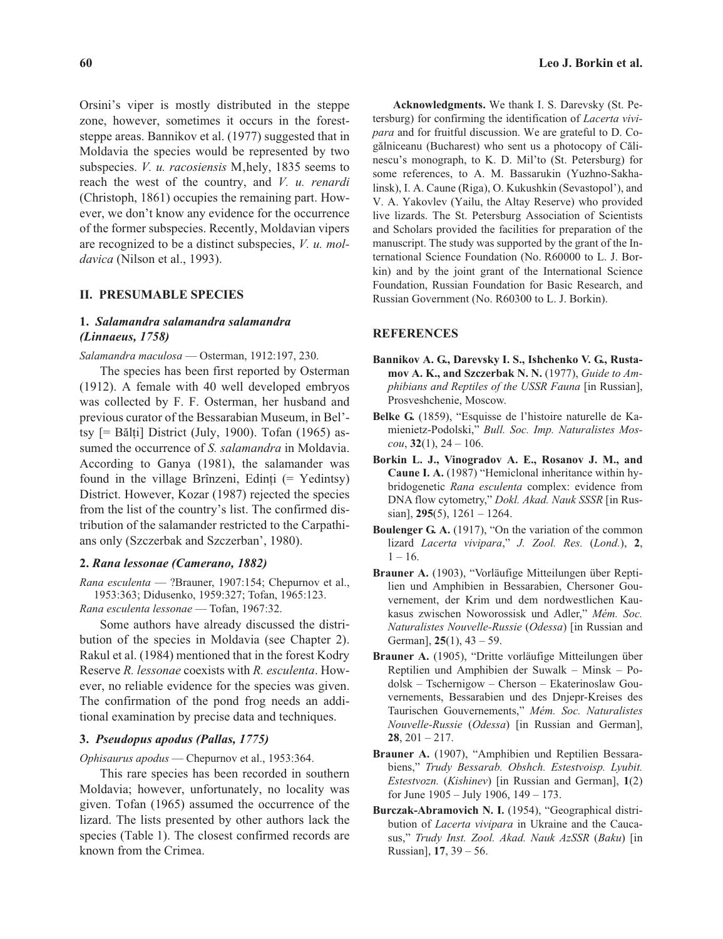Orsini's viper is mostly distributed in the steppe zone, however, sometimes it occurs in the foreststeppe areas. Bannikov et al. (1977) suggested that in Moldavia the species would be represented by two subspecies. *V. u. racosiensis* M, hely, 1835 seems to reach the west of the country, and *V. u. renardi* (Christoph, 1861) occupies the remaining part. However, we don't know any evidence for the occurrence of the former subspecies. Recently, Moldavian vipers are recognized to be a distinct subspecies, *V. u. moldavica* (Nilson et al., 1993).

## **II. PRESUMABLE SPECIES**

## **1.** *Salamandra salamandra salamandra (Linnaeus, 1758)*

*Salamandra maculosa* — Osterman, 1912:197, 230.

The species has been first reported by Osterman (1912). A female with 40 well developed embryos was collected by F. F. Osterman, her husband and previous curator of the Bessarabian Museum, in Bel' tsy  $[=$  Bălți] District (July, 1900). Tofan (1965) assumed the occurrence of *S. salamandra* in Moldavia. According to Ganya (1981), the salamander was found in the village Brînzeni, Edinți ( $=$  Yedintsy) District. However, Kozar (1987) rejected the species from the list of the country's list. The confirmed distribution of the salamander restricted to the Carpathians only (Szczerbak and Szczerban', 1980).

## **2.** *Rana lessonae (Camerano, 1882)*

*Rana esculenta* — ?Brauner, 1907:154; Chepurnov et al., 1953:363; Didusenko, 1959:327; Tofan, 1965:123.

*Rana esculenta lessonae* — Tofan, 1967:32.

Some authors have already discussed the distribution of the species in Moldavia (see Chapter 2). Rakul et al. (1984) mentioned that in the forest Kodry Reserve *R. lessonae* coexists with *R. esculenta*. However, no reliable evidence for the species was given. The confirmation of the pond frog needs an additional examination by precise data and techniques.

## **3.** *Pseudopus apodus (Pallas, 1775)*

*Ophisaurus apodus* — Chepurnov et al., 1953:364.

This rare species has been recorded in southern Moldavia; however, unfortunately, no locality was given. Tofan (1965) assumed the occurrence of the lizard. The lists presented by other authors lack the species (Table 1). The closest confirmed records are known from the Crimea.

**Acknowledgments.** We thank I. S. Darevsky (St. Petersburg) for confirming the identification of *Lacerta vivipara* and for fruitful discussion. We are grateful to D. Cogãlniceanu (Bucharest) who sent us a photocopy of Cãlinescu's monograph, to K. D. Mil'to (St. Petersburg) for some references, to A. M. Bassarukin (Yuzhno-Sakhalinsk), I. A. Caune (Riga), O. Kukushkin (Sevastopol'), and V. A. Yakovlev (Yailu, the Altay Reserve) who provided live lizards. The St. Petersburg Association of Scientists and Scholars provided the facilities for preparation of the manuscript. The study was supported by the grant of the International Science Foundation (No. R60000 to L. J. Borkin) and by the joint grant of the International Science Foundation, Russian Foundation for Basic Research, and Russian Government (No. R60300 to L. J. Borkin).

#### **REFERENCES**

- **Bannikov A. G., Darevsky I. S., Ishchenko V. G., Rustamov A. K., and Szczerbak N. N.** (1977), *Guide to Amphibians and Reptiles of the USSR Fauna* [in Russian], Prosveshchenie, Moscow.
- **Belke G.** (1859), "Esquisse de l'histoire naturelle de Kamienietz-Podolski," *Bull. Soc. Imp. Naturalistes Moscou*, **32**(1), 24 – 106.
- **Borkin L. J., Vinogradov A. E., Rosanov J. M., and Caune I. A.** (1987) "Hemiclonal inheritance within hybridogenetic *Rana esculenta* complex: evidence from DNA flow cytometry," *Dokl. Akad. Nauk SSSR* [in Russian], **295**(5), 1261 – 1264.
- **Boulenger G. A.** (1917), "On the variation of the common lizard *Lacerta vivipara*," *J. Zool. Res.* (*Lond.*), **2**,  $1 - 16$ .
- **Brauner A.** (1903), "Vorläufige Mitteilungen über Reptilien und Amphibien in Bessarabien, Chersoner Gouvernement, der Krim und dem nordwestlichen Kaukasus zwischen Noworossisk und Adler," *Mém. Soc. Naturalistes Nouvelle-Russie* (*Odessa*) [in Russian and German], **25**(1), 43 – 59.
- **Brauner A.** (1905), "Dritte vorläufige Mitteilungen über Reptilien und Amphibien der Suwalk – Minsk – Podolsk – Tschernigow – Cherson – Ekaterinoslaw Gouvernements, Bessarabien und des Dnjepr-Kreises des Taurischen Gouvernements," *Mém. Soc. Naturalistes Nouvelle-Russie* (*Odessa*) [in Russian and German], **28**, 201 – 217.
- **Brauner A.** (1907), "Amphibien und Reptilien Bessarabiens," *Trudy Bessarab. Obshch. Estestvoisp. Lyubit. Estestvozn.* (*Kishinev*) [in Russian and German], **1**(2) for June 1905 – July 1906, 149 – 173.
- **Burczak-Abramovich N. I.** (1954), "Geographical distribution of *Lacerta vivipara* in Ukraine and the Caucasus," *Trudy Inst. Zool. Akad. Nauk AzSSR* (*Baku*) [in Russian], **17**, 39 – 56.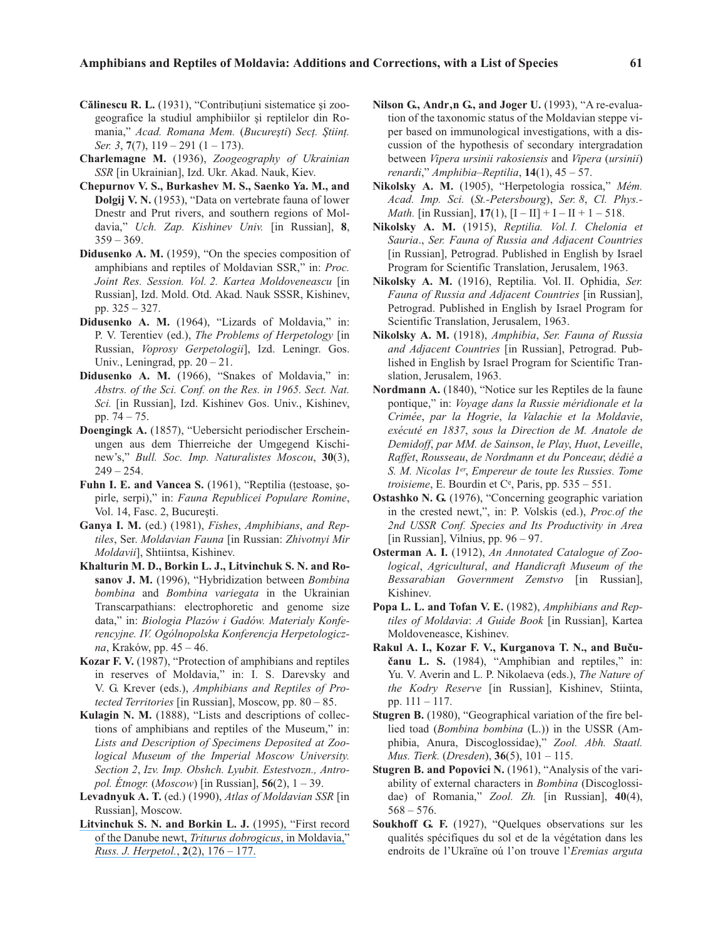- **Călinescu R. L.** (1931), "Contribuțiuni sistematice și zoogeografice la studiul amphibiilor și reptilelor din Romania," *Acad. Romana Mem.* (*Bucureþti*) *Secþ. Þtiinþ. Ser. 3*, **7**(7), 119 – 291 (1 – 173).
- **Charlemagne M.** (1936), *Zoogeography of Ukrainian SSR* [in Ukrainian], Izd. Ukr. Akad. Nauk, Kiev.
- **Chepurnov V. S., Burkashev M. S., Saenko Ya. M., and Dolgij V. N.** (1953), "Data on vertebrate fauna of lower Dnestr and Prut rivers, and southern regions of Moldavia," *Uch. Zap. Kishinev Univ.* [in Russian], **8**,  $359 - 369.$
- **Didusenko A. M.** (1959), "On the species composition of amphibians and reptiles of Moldavian SSR," in: *Proc. Joint Res. Session. Vol. 2. Kartea Moldoveneascu* [in Russian], Izd. Mold. Otd. Akad. Nauk SSSR, Kishinev, pp. 325 – 327.
- **Didusenko A. M.** (1964), "Lizards of Moldavia," in: P. V. Terentiev (ed.), *The Problems of Herpetology* [in Russian, *Voprosy Gerpetologii*], Izd. Leningr. Gos. Univ., Leningrad, pp.  $20 - 21$ .
- **Didusenko A. M.** (1966), "Snakes of Moldavia," in: *Abstrs. of the Sci. Conf. on the Res. in 1965. Sect. Nat. Sci.* [in Russian], Izd. Kishinev Gos. Univ., Kishinev, pp. 74 – 75.
- **Doengingk A.** (1857), "Uebersicht periodischer Erscheinungen aus dem Thierreiche der Umgegend Kischinew's," *Bull. Soc. Imp. Naturalistes Moscou*, **30**(3),  $249 - 254.$
- Fuhn I. E. and Vancea S. (1961), "Reptilia (testoase, sopirle, serpi)," in: *Fauna Republicei Populare Romine*, Vol. 14, Fasc. 2, București.
- **Ganya I. M.** (ed.) (1981), *Fishes*, *Amphibians*, *and Reptiles*, Ser. *Moldavian Fauna* [in Russian: *Zhivotnyi Mir Moldavii*], Shtiintsa, Kishinev.
- **Khalturin M. D., Borkin L. J., Litvinchuk S. N. and Rosanov J. M.** (1996), "Hybridization between *Bombina bombina* and *Bombina variegata* in the Ukrainian Transcarpathians: electrophoretic and genome size data," in: *Biologia Plazów i Gadów. Materialy Konferencyjne. IV. Ogólnopolska Konferencja Herpetologiczna*, Kraków, pp. 45 – 46.
- **Kozar F. V.** (1987), "Protection of amphibians and reptiles in reserves of Moldavia," in: I. S. Darevsky and V. G. Krever (eds.), *Amphibians and Reptiles of Protected Territories* [in Russian], Moscow, pp. 80 – 85.
- **Kulagin N. M.** (1888), "Lists and descriptions of collections of amphibians and reptiles of the Museum," in: *Lists and Description of Specimens Deposited at Zoological Museum of the Imperial Moscow University. Section 2*, *Izv. Imp. Obshch. Lyubit. Estestvozn., Antropol. Étnogr.* (*Moscow*) [in Russian], **56**(2), 1 – 39.
- **Levadnyuk A. T.** (ed.) (1990), *Atlas of Moldavian SSR* [in Russian], Moscow.
- **[Litvinchuk S. N. and Borkin L. J.](https://www.researchgate.net/publication/233379125_FIRST_RECORD_OF_THE_DANUBE_NEWT_Triturus_dobrogicus_IN_MOLDAVIA?el=1_x_8&enrichId=rgreq-f7716a8adba90c962ed5f5c4b5391965-XXX&enrichSource=Y292ZXJQYWdlOzIzMzM3OTE0NjtBUzo5NzEyOTA0OTYyNDU3NkAxNDAwMTY4Nzc4MDUw)** (1995), "First record [of the Danube newt,](https://www.researchgate.net/publication/233379125_FIRST_RECORD_OF_THE_DANUBE_NEWT_Triturus_dobrogicus_IN_MOLDAVIA?el=1_x_8&enrichId=rgreq-f7716a8adba90c962ed5f5c4b5391965-XXX&enrichSource=Y292ZXJQYWdlOzIzMzM3OTE0NjtBUzo5NzEyOTA0OTYyNDU3NkAxNDAwMTY4Nzc4MDUw) *Triturus dobrogicus*, in Moldavia," *[Russ. J. Herpetol.](https://www.researchgate.net/publication/233379125_FIRST_RECORD_OF_THE_DANUBE_NEWT_Triturus_dobrogicus_IN_MOLDAVIA?el=1_x_8&enrichId=rgreq-f7716a8adba90c962ed5f5c4b5391965-XXX&enrichSource=Y292ZXJQYWdlOzIzMzM3OTE0NjtBUzo5NzEyOTA0OTYyNDU3NkAxNDAwMTY4Nzc4MDUw)*, **2**(2), 176 – 177.
- Nilson G., Andr, n G., and Joger U. (1993), "A re-evaluation of the taxonomic status of the Moldavian steppe viper based on immunological investigations, with a discussion of the hypothesis of secondary intergradation between *Vipera ursinii rakosiensis* and *Vipera* (*ursinii*) *renardi*," *Amphibia–Reptilia*, **14**(1), 45 – 57.
- **Nikolsky A. M.** (1905), "Herpetologia rossica," *Mém. Acad. Imp. Sci.* (*St.-Petersbourg*), *Ser. 8*, *Cl. Phys.- Math.* [in Russian],  $17(1)$ ,  $[I - II] + I - II + 1 - 518$ .
- **Nikolsky A. M.** (1915), *Reptilia. Vol. I. Chelonia et Sauria*., *Ser. Fauna of Russia and Adjacent Countries* [in Russian], Petrograd. Published in English by Israel Program for Scientific Translation, Jerusalem, 1963.
- **Nikolsky A. M.** (1916), Reptilia. Vol. II. Ophidia, *Ser. Fauna of Russia and Adjacent Countries* [in Russian], Petrograd. Published in English by Israel Program for Scientific Translation, Jerusalem, 1963.
- **Nikolsky A. M.** (1918), *Amphibia*, *Ser. Fauna of Russia and Adjacent Countries* [in Russian], Petrograd. Published in English by Israel Program for Scientific Translation, Jerusalem, 1963.
- **Nordmann A.** (1840), "Notice sur les Reptiles de la faune pontique," in: *Voyage dans la Russie méridionale et la Crimée*, *par la Hogrie*, *la Valachie et la Moldavie*, *exécuté en 1837*, *sous la Direction de M. Anatole de Demidoff*, *par MM. de Sainson*, *le Play*, *Huot*, *Leveille*, *Raffet*, *Rousseau*, *de Nordmann et du Ponceau*; *dédié a S. M. Nicolas 1er*, *Empereur de toute les Russies. Tome troisieme*, E. Bourdin et C<sup>e</sup>, Paris, pp.  $535 - 551$ .
- **Ostashko N. G.** (1976), "Concerning geographic variation in the crested newt,", in: P. Volskis (ed.), *Proc.of the 2nd USSR Conf. Species and Its Productivity in Area* [in Russian], Vilnius, pp.  $96 - 97$ .
- **Osterman A. I.** (1912), *An Annotated Catalogue of Zoological*, *Agricultural*, *and Handicraft Museum of the Bessarabian Government Zemstvo* [in Russian], Kishinev.
- **Popa L. L. and Tofan V. E.** (1982), *Amphibians and Reptiles of Moldavia*: *A Guide Book* [in Russian], Kartea Moldoveneasce, Kishinev.
- **Rakul A. I., Kozar F. V., Kurganova T. N., and Buèuèanu L. S.** (1984), "Amphibian and reptiles," in: Yu. V. Averin and L. P. Nikolaeva (eds.), *The Nature of the Kodry Reserve* [in Russian], Kishinev, Stiinta, pp. 111 – 117.
- **Stugren B.** (1980), "Geographical variation of the fire bellied toad (*Bombina bombina* (L.)) in the USSR (Amphibia, Anura, Discoglossidae)," *Zool. Abh. Staatl. Mus. Tierk.* (*Dresden*), **36**(5), 101 – 115.
- **Stugren B. and Popovici N.** (1961), "Analysis of the variability of external characters in *Bombina* (Discoglossidae) of Romania," *Zool. Zh.* [in Russian], **40**(4),  $568 - 576.$
- **Soukhoff G. F.** (1927), "Quelques observations sur les qualités spécifiques du sol et de la végétation dans les endroits de l'Ukraïne oú l'on trouve l'*Eremias arguta*